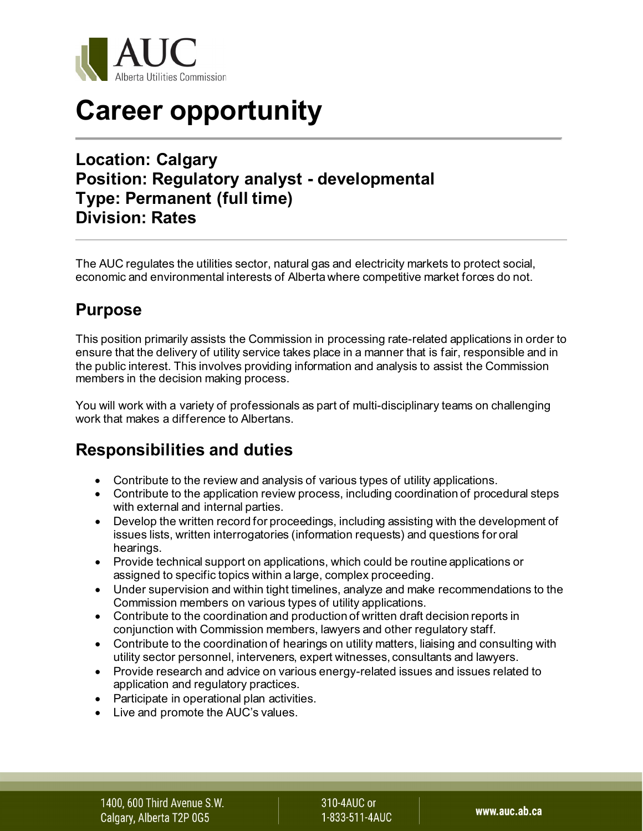

# **Career opportunity**

#### **Location: Calgary Position: Regulatory analyst - developmental Type: Permanent (full time) Division: Rates**

The AUC regulates the utilities sector, natural gas and electricity markets to protect social, economic and environmental interests of Alberta where competitive market forces do not.

### **Purpose**

This position primarily assists the Commission in processing rate-related applications in order to ensure that the delivery of utility service takes place in a manner that is fair, responsible and in the public interest. This involves providing information and analysis to assist the Commission members in the decision making process.

You will work with a variety of professionals as part of multi-disciplinary teams on challenging work that makes a difference to Albertans.

#### **Responsibilities and duties**

- Contribute to the review and analysis of various types of utility applications.
- Contribute to the application review process, including coordination of procedural steps with external and internal parties.
- Develop the written record for proceedings, including assisting with the development of issues lists, written interrogatories (information requests) and questions for oral hearings.
- Provide technical support on applications, which could be routine applications or assigned to specific topics within a large, complex proceeding.
- Under supervision and within tight timelines, analyze and make recommendations to the Commission members on various types of utility applications.
- Contribute to the coordination and production of written draft decision reports in conjunction with Commission members, lawyers and other regulatory staff.
- Contribute to the coordination of hearings on utility matters, liaising and consulting with utility sector personnel, interveners, expert witnesses, consultants and lawyers.
- Provide research and advice on various energy-related issues and issues related to application and regulatory practices.
- Participate in operational plan activities.
- Live and promote the AUC's values.